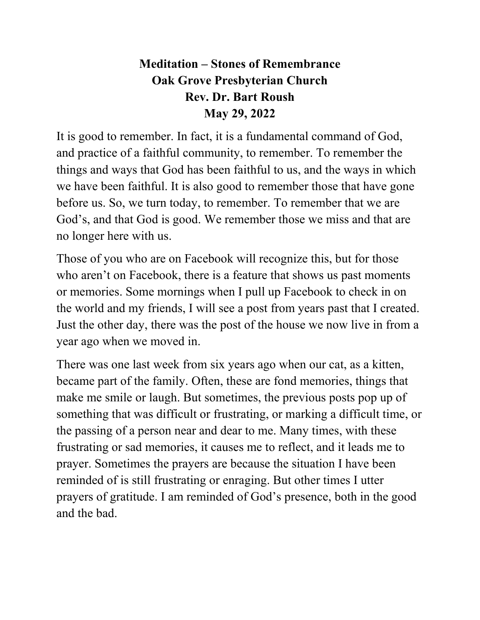## **Meditation – Stones of Remembrance Oak Grove Presbyterian Church Rev. Dr. Bart Roush May 29, 2022**

It is good to remember. In fact, it is a fundamental command of God, and practice of a faithful community, to remember. To remember the things and ways that God has been faithful to us, and the ways in which we have been faithful. It is also good to remember those that have gone before us. So, we turn today, to remember. To remember that we are God's, and that God is good. We remember those we miss and that are no longer here with us.

Those of you who are on Facebook will recognize this, but for those who aren't on Facebook, there is a feature that shows us past moments or memories. Some mornings when I pull up Facebook to check in on the world and my friends, I will see a post from years past that I created. Just the other day, there was the post of the house we now live in from a year ago when we moved in.

There was one last week from six years ago when our cat, as a kitten, became part of the family. Often, these are fond memories, things that make me smile or laugh. But sometimes, the previous posts pop up of something that was difficult or frustrating, or marking a difficult time, or the passing of a person near and dear to me. Many times, with these frustrating or sad memories, it causes me to reflect, and it leads me to prayer. Sometimes the prayers are because the situation I have been reminded of is still frustrating or enraging. But other times I utter prayers of gratitude. I am reminded of God's presence, both in the good and the bad.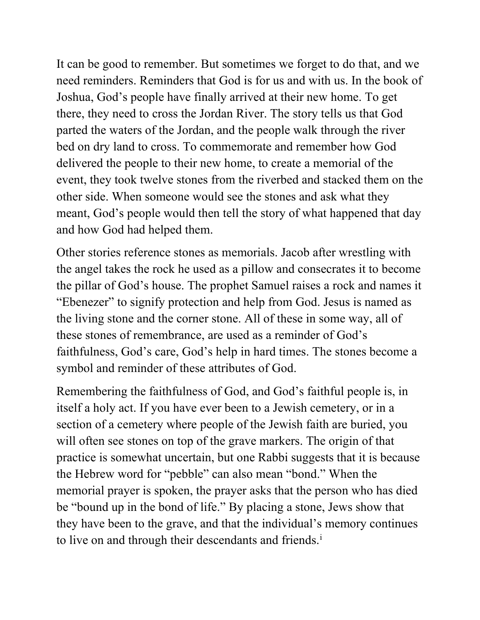It can be good to remember. But sometimes we forget to do that, and we need reminders. Reminders that God is for us and with us. In the book of Joshua, God's people have finally arrived at their new home. To get there, they need to cross the Jordan River. The story tells us that God parted the waters of the Jordan, and the people walk through the river bed on dry land to cross. To commemorate and remember how God delivered the people to their new home, to create a memorial of the event, they took twelve stones from the riverbed and stacked them on the other side. When someone would see the stones and ask what they meant, God's people would then tell the story of what happened that day and how God had helped them.

Other stories reference stones as memorials. Jacob after wrestling with the angel takes the rock he used as a pillow and consecrates it to become the pillar of God's house. The prophet Samuel raises a rock and names it "Ebenezer" to signify protection and help from God. Jesus is named as the living stone and the corner stone. All of these in some way, all of these stones of remembrance, are used as a reminder of God's faithfulness, God's care, God's help in hard times. The stones become a symbol and reminder of these attributes of God.

Remembering the faithfulness of God, and God's faithful people is, in itself a holy act. If you have ever been to a Jewish cemetery, or in a section of a cemetery where people of the Jewish faith are buried, you will often see stones on top of the grave markers. The origin of that practice is somewhat uncertain, but one Rabbi suggests that it is because the Hebrew word for "pebble" can also mean "bond." When the memorial prayer is spoken, the prayer asks that the person who has died be "bound up in the bond of life." By placing a stone, Jews show that they have been to the grave, and that the individual's memory continues to l[i](#page-3-0)ve on and through their descendants and friends.<sup>i</sup>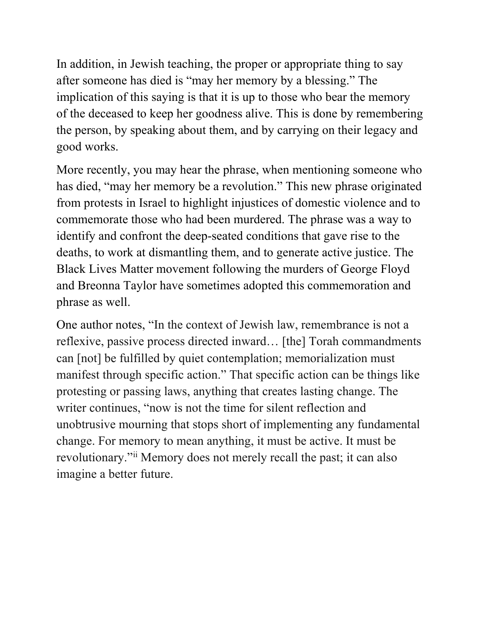In addition, in Jewish teaching, the proper or appropriate thing to say after someone has died is "may her memory by a blessing." The implication of this saying is that it is up to those who bear the memory of the deceased to keep her goodness alive. This is done by remembering the person, by speaking about them, and by carrying on their legacy and good works.

More recently, you may hear the phrase, when mentioning someone who has died, "may her memory be a revolution." This new phrase originated from protests in Israel to highlight injustices of domestic violence and to commemorate those who had been murdered. The phrase was a way to identify and confront the deep-seated conditions that gave rise to the deaths, to work at dismantling them, and to generate active justice. The Black Lives Matter movement following the murders of George Floyd and Breonna Taylor have sometimes adopted this commemoration and phrase as well.

One author notes, "In the context of Jewish law, remembrance is not a reflexive, passive process directed inward… [the] Torah commandments can [not] be fulfilled by quiet contemplation; memorialization must manifest through specific action." That specific action can be things like protesting or passing laws, anything that creates lasting change. The writer continues, "now is not the time for silent reflection and unobtrusive mourning that stops short of implementing any fundamental change. For memory to mean anything, it must be active. It must be revolutionary."[ii](#page-3-1) Memory does not merely recall the past; it can also imagine a better future.